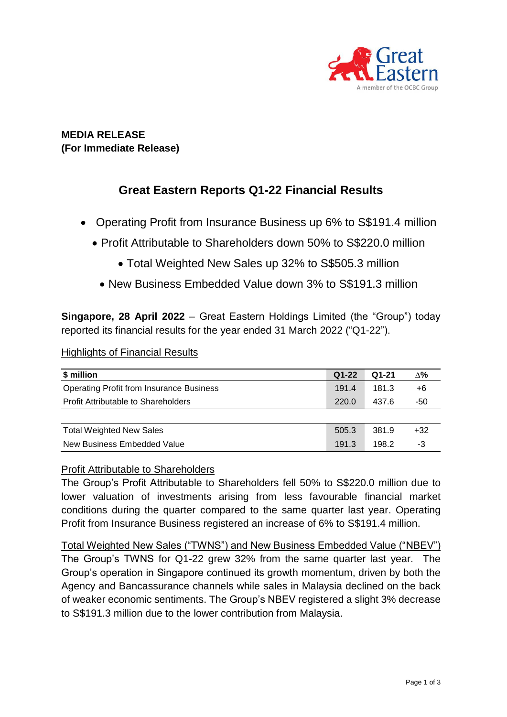

## **MEDIA RELEASE (For Immediate Release)**

# **Great Eastern Reports Q1-22 Financial Results**

- Operating Profit from Insurance Business up 6% to S\$191.4 million
	- Profit Attributable to Shareholders down 50% to S\$220.0 million
		- Total Weighted New Sales up 32% to S\$505.3 million
		- New Business Embedded Value down 3% to S\$191.3 million

**Singapore, 28 April 2022** – Great Eastern Holdings Limited (the "Group") today reported its financial results for the year ended 31 March 2022 ("Q1-22").

#### Highlights of Financial Results

| \$ million                                      | $Q1-22$ | $Q1-21$ | Δ%    |
|-------------------------------------------------|---------|---------|-------|
| <b>Operating Profit from Insurance Business</b> | 191.4   | 181.3   | +6    |
| Profit Attributable to Shareholders             | 220.0   | 437.6   | -50   |
|                                                 |         |         |       |
| <b>Total Weighted New Sales</b>                 | 505.3   | 381.9   | $+32$ |
| New Business Embedded Value                     | 191.3   | 198.2   | -3    |

### Profit Attributable to Shareholders

The Group's Profit Attributable to Shareholders fell 50% to S\$220.0 million due to lower valuation of investments arising from less favourable financial market conditions during the quarter compared to the same quarter last year. Operating Profit from Insurance Business registered an increase of 6% to S\$191.4 million.

Total Weighted New Sales ("TWNS") and New Business Embedded Value ("NBEV") The Group's TWNS for Q1-22 grew 32% from the same quarter last year. The Group's operation in Singapore continued its growth momentum, driven by both the Agency and Bancassurance channels while sales in Malaysia declined on the back of weaker economic sentiments. The Group's NBEV registered a slight 3% decrease to S\$191.3 million due to the lower contribution from Malaysia.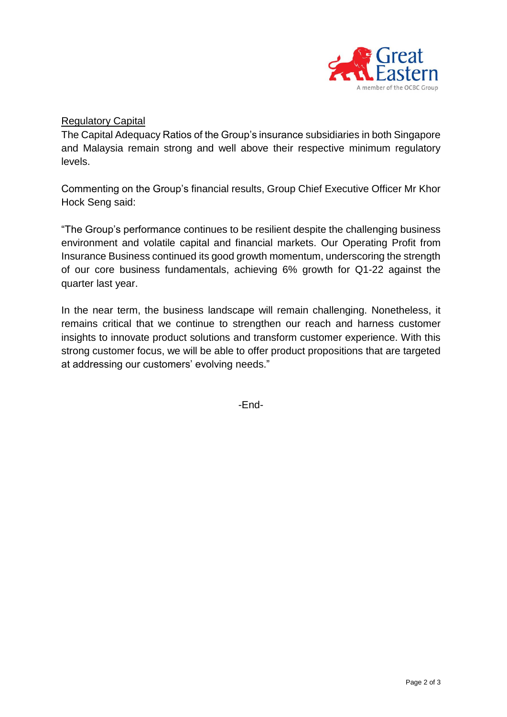

#### Regulatory Capital

The Capital Adequacy Ratios of the Group's insurance subsidiaries in both Singapore and Malaysia remain strong and well above their respective minimum regulatory levels.

Commenting on the Group's financial results, Group Chief Executive Officer Mr Khor Hock Seng said:

"The Group's performance continues to be resilient despite the challenging business environment and volatile capital and financial markets. Our Operating Profit from Insurance Business continued its good growth momentum, underscoring the strength of our core business fundamentals, achieving 6% growth for Q1-22 against the quarter last year.

In the near term, the business landscape will remain challenging. Nonetheless, it remains critical that we continue to strengthen our reach and harness customer insights to innovate product solutions and transform customer experience. With this strong customer focus, we will be able to offer product propositions that are targeted at addressing our customers' evolving needs."

-End-